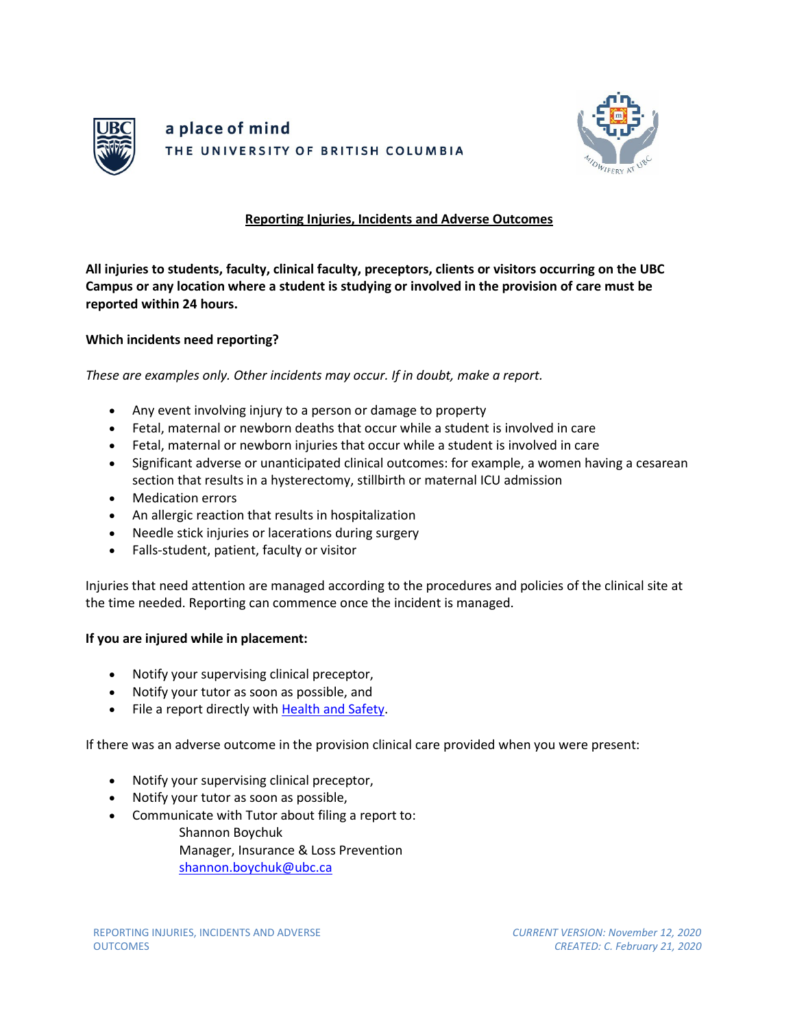



## **Reporting Injuries, Incidents and Adverse Outcomes**

**All injuries to students, faculty, clinical faculty, preceptors, clients or visitors occurring on the UBC Campus or any location where a student is studying or involved in the provision of care must be reported within 24 hours.**

**Which incidents need reporting?**

*These are examples only. Other incidents may occur. If in doubt, make a report.*

- Any event involving injury to a person or damage to property
- Fetal, maternal or newborn deaths that occur while a student is involved in care
- Fetal, maternal or newborn injuries that occur while a student is involved in care
- Significant adverse or unanticipated clinical outcomes: for example, a women having a cesarean section that results in a hysterectomy, stillbirth or maternal ICU admission
- Medication errors
- An allergic reaction that results in hospitalization
- Needle stick injuries or lacerations during surgery
- Falls-student, patient, faculty or visitor

Injuries that need attention are managed according to the procedures and policies of the clinical site at the time needed. Reporting can commence once the incident is managed.

## **If you are injured while in placement:**

- Notify your supervising clinical preceptor,
- Notify your tutor as soon as possible, and
- File a report directly with [Health and Safety.](https://www.cairs.ubc.ca/public_page.php)

If there was an adverse outcome in the provision clinical care provided when you were present:

- Notify your supervising clinical preceptor,
- Notify your tutor as soon as possible,
- Communicate with Tutor about filing a report to:
	- Shannon Boychuk Manager, Insurance & Loss Prevention [shannon.boychuk@ubc.ca](mailto:shannon.boychuk@ubc.ca)